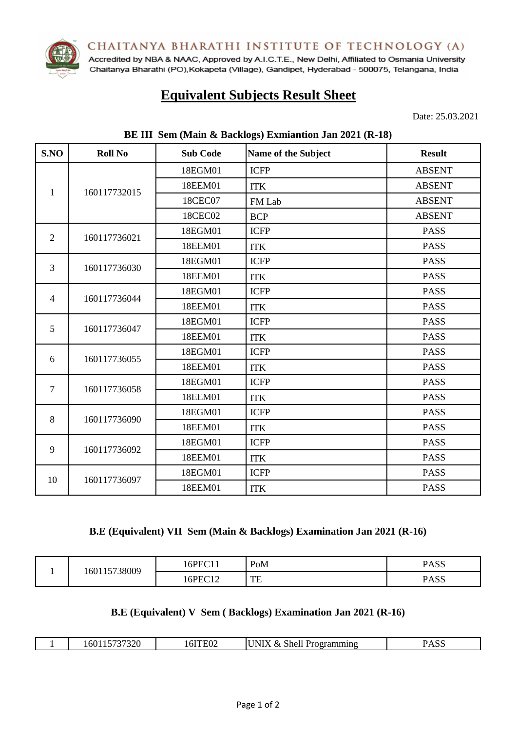CHAITANYA BHARATHI INSTITUTE OF TECHNOLOGY (A)



Accredited by NBA & NAAC, Approved by A.I.C.T.E., New Delhi, Affiliated to Osmania University Chaitanya Bharathi (PO), Kokapeta (Village), Gandipet, Hyderabad - 500075, Telangana, India

# **Equivalent Subjects Result Sheet**

Date: 25.03.2021

| S.NO           | <b>Roll No</b> | <b>Sub Code</b> | Name of the Subject | <b>Result</b> |
|----------------|----------------|-----------------|---------------------|---------------|
|                | 160117732015   | 18EGM01         | <b>ICFP</b>         | <b>ABSENT</b> |
|                |                | 18EEM01         | <b>ITK</b>          | <b>ABSENT</b> |
| 1              |                | 18CEC07         | FM Lab              | <b>ABSENT</b> |
|                |                | 18CEC02         | <b>BCP</b>          | <b>ABSENT</b> |
| $\overline{2}$ | 160117736021   | 18EGM01         | <b>ICFP</b>         | <b>PASS</b>   |
|                |                | 18EEM01         | <b>ITK</b>          | <b>PASS</b>   |
| 3              | 160117736030   | 18EGM01         | <b>ICFP</b>         | <b>PASS</b>   |
|                |                | 18EEM01         | <b>ITK</b>          | <b>PASS</b>   |
| $\overline{4}$ | 160117736044   | 18EGM01         | <b>ICFP</b>         | <b>PASS</b>   |
|                |                | 18EEM01         | <b>ITK</b>          | <b>PASS</b>   |
| 5              | 160117736047   | 18EGM01         | <b>ICFP</b>         | <b>PASS</b>   |
|                |                | 18EEM01         | <b>ITK</b>          | <b>PASS</b>   |
| 6              | 160117736055   | 18EGM01         | <b>ICFP</b>         | <b>PASS</b>   |
|                |                | 18EEM01         | <b>ITK</b>          | <b>PASS</b>   |
| $\overline{7}$ | 160117736058   | 18EGM01         | <b>ICFP</b>         | <b>PASS</b>   |
|                |                | 18EEM01         | <b>ITK</b>          | <b>PASS</b>   |
|                | 160117736090   | 18EGM01         | <b>ICFP</b>         | <b>PASS</b>   |
| 8              |                | 18EEM01         | <b>ITK</b>          | <b>PASS</b>   |
| 9              | 160117736092   | 18EGM01         | <b>ICFP</b>         | <b>PASS</b>   |
|                |                | 18EEM01         | <b>ITK</b>          | <b>PASS</b>   |
|                |                | 18EGM01         | <b>ICFP</b>         | <b>PASS</b>   |
| 10             | 160117736097   | 18EEM01         | <b>ITK</b>          | <b>PASS</b>   |

#### **BE III Sem (Main & Backlogs) Exmiantion Jan 2021 (R-18)**

### **B.E (Equivalent) VII Sem (Main & Backlogs) Examination Jan 2021 (R-16)**

| 15738009 | $16$ PEC $^*$<br>$\sim$     | PoM      | <b>PASS</b> |
|----------|-----------------------------|----------|-------------|
| 601      | $16$ PEC<br>$\sim$<br>1 L L | TE<br>⊥∟ | <b>PASS</b> |

#### **B.E (Equivalent) V Sem ( Backlogs) Examination Jan 2021 (R-16)**

| 37320<br>nu. | LEUJ<br>ĽV∠ | ،N'<br>$\mathcal{X}$<br>Shell<br>эганнин с<br>тοσ | DACC<br><b>CGAJ</b> |
|--------------|-------------|---------------------------------------------------|---------------------|
|              |             |                                                   |                     |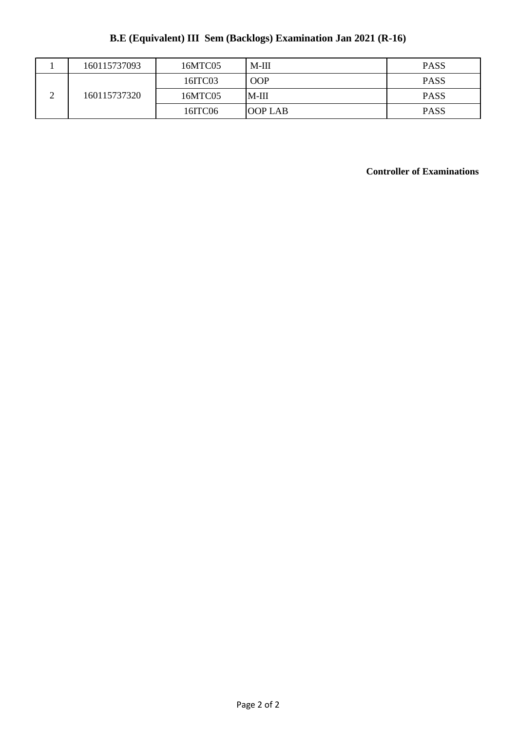# **B.E (Equivalent) III Sem (Backlogs) Examination Jan 2021 (R-16)**

|             | 160115737093 | 16MTC05 | $M-III$    | <b>PASS</b> |
|-------------|--------------|---------|------------|-------------|
| $\sim$<br>∸ | 160115737320 | 16ITC03 | <b>OOP</b> | <b>PASS</b> |
|             |              | 16MTC05 | IM-III     | <b>PASS</b> |
|             |              | 16ITC06 | IOOP LAB   | <b>PASS</b> |

## **Controller of Examinations**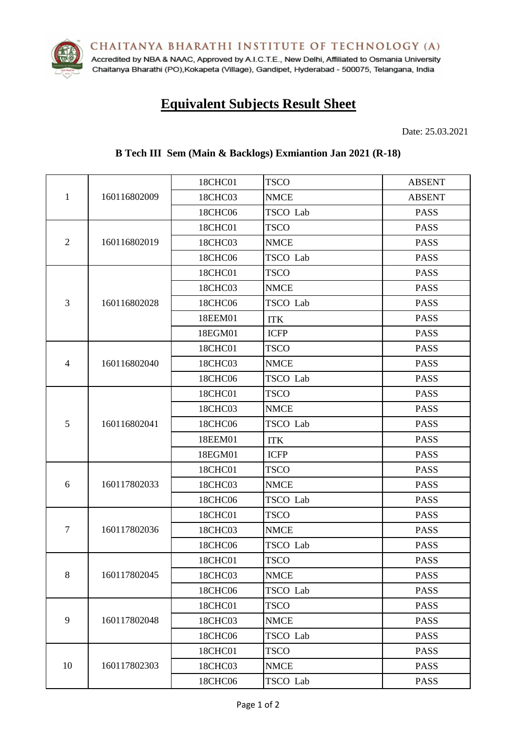CHAITANYA BHARATHI INSTITUTE OF TECHNOLOGY (A)



Accredited by NBA & NAAC, Approved by A.I.C.T.E., New Delhi, Affiliated to Osmania University Chaitanya Bharathi (PO), Kokapeta (Village), Gandipet, Hyderabad - 500075, Telangana, India

# **Equivalent Subjects Result Sheet**

Date: 25.03.2021

# **B Tech III Sem (Main & Backlogs) Exmiantion Jan 2021 (R-18)**

|                |              | 18CHC01 | <b>TSCO</b> | <b>ABSENT</b> |
|----------------|--------------|---------|-------------|---------------|
| $\mathbf{1}$   | 160116802009 | 18CHC03 | <b>NMCE</b> | <b>ABSENT</b> |
|                |              | 18CHC06 | TSCO Lab    | <b>PASS</b>   |
|                |              | 18CHC01 | <b>TSCO</b> | <b>PASS</b>   |
| $\mathfrak{2}$ | 160116802019 | 18CHC03 | <b>NMCE</b> | <b>PASS</b>   |
|                |              | 18CHC06 | TSCO Lab    | <b>PASS</b>   |
|                |              | 18CHC01 | <b>TSCO</b> | <b>PASS</b>   |
|                |              | 18CHC03 | <b>NMCE</b> | <b>PASS</b>   |
| 3              | 160116802028 | 18CHC06 | TSCO Lab    | <b>PASS</b>   |
|                |              | 18EEM01 | <b>ITK</b>  | <b>PASS</b>   |
|                |              | 18EGM01 | <b>ICFP</b> | <b>PASS</b>   |
|                |              | 18CHC01 | <b>TSCO</b> | <b>PASS</b>   |
| 4              | 160116802040 | 18CHC03 | <b>NMCE</b> | <b>PASS</b>   |
|                |              | 18CHC06 | TSCO Lab    | <b>PASS</b>   |
|                |              | 18CHC01 | <b>TSCO</b> | <b>PASS</b>   |
|                | 160116802041 | 18CHC03 | <b>NMCE</b> | <b>PASS</b>   |
| 5              |              | 18CHC06 | TSCO Lab    | <b>PASS</b>   |
|                |              | 18EEM01 | <b>ITK</b>  | <b>PASS</b>   |
|                |              | 18EGM01 | <b>ICFP</b> | <b>PASS</b>   |
|                | 160117802033 | 18CHC01 | <b>TSCO</b> | <b>PASS</b>   |
| 6              |              | 18CHC03 | <b>NMCE</b> | <b>PASS</b>   |
|                |              | 18CHC06 | TSCO Lab    | <b>PASS</b>   |
|                |              | 18CHC01 | <b>TSCO</b> | <b>PASS</b>   |
| $\tau$         | 160117802036 | 18CHC03 | <b>NMCE</b> | <b>PASS</b>   |
|                |              | 18CHC06 | TSCO Lab    | <b>PASS</b>   |
|                | 160117802045 | 18CHC01 | <b>TSCO</b> | <b>PASS</b>   |
| 8              |              | 18CHC03 | <b>NMCE</b> | <b>PASS</b>   |
|                |              | 18CHC06 | TSCO Lab    | <b>PASS</b>   |
|                |              | 18CHC01 | <b>TSCO</b> | <b>PASS</b>   |
| 9              | 160117802048 | 18CHC03 | <b>NMCE</b> | <b>PASS</b>   |
|                |              | 18CHC06 | TSCO Lab    | <b>PASS</b>   |
|                |              | 18CHC01 | <b>TSCO</b> | <b>PASS</b>   |
| 10             | 160117802303 | 18CHC03 | <b>NMCE</b> | <b>PASS</b>   |
|                |              | 18CHC06 | TSCO Lab    | <b>PASS</b>   |